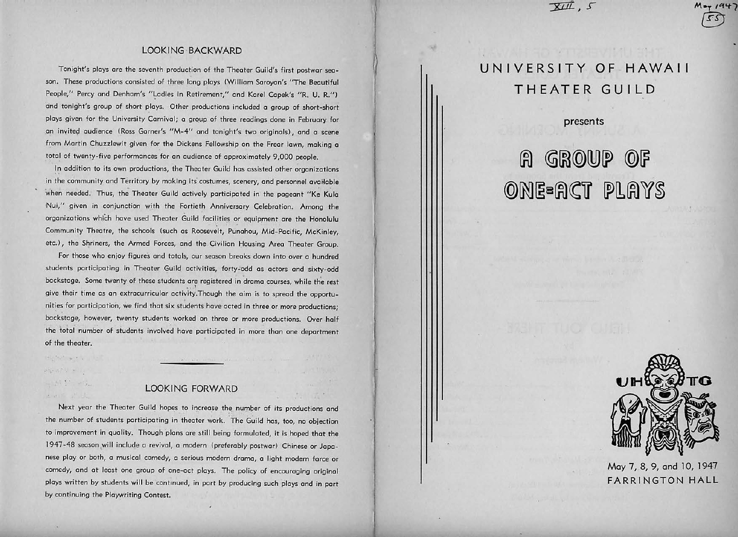### LOOKING· BACKWARD

6

 $\mathcal{U}$ 

f I

Tonight's ploys ore the seventh production of the Theater Guild's first postwar season. These productions consisted of three long plays (William Saroyan's "The Beautiful People," Percy and Denham's "Ladies in Retirement," and Karel Capek's "R. U. R.") and tonight's group of short plays. Other productions included a group of short-short plays given for the University Carnival; a group of three readings done in February for .on inyite9 audience (Ross Garner's "M-4" and tonight's two originals), and o scene from Martin Chuzzlewit given for the Dickens Fellowship on the Frear lawn, making o total of twenty-five performances for an audience of approximately 9,000 people.

In addition to its own productions, the Theater Guild has assisted other organizations in the community and Territory by making its costumes, scenery, and personnel available when needed. Thus, the Theater Guild actively participated in the pageant "Ke Kula Nui," given in conjunction with the Fortieth Anniversary Celebration. Among the organizations which have used Theater Guild facilities or equipment are the Honolulu Community Theatre, the schools (such as Roosevelt, Punohou, Mid-Pacific, McKinley, etc.), the Shriners, the Armed Forces, and the Civilian Housing Area Theater Group.

For those who enjoy figures and totals, our season breaks down into over a hundred students participating in Theater Guild activities, forty-odd as actors and sixty-odd backstage. Some twenty of these students are registered in drama courses, while the rest give their time as on extracurricular octivity.Though the aim is to spread the opportunities for participation, we find that six students hove acted in three or more productions; backstage, however, twenty students worked on three or more productions. Over half the total number of students involved have participated in more than one department of the theater.

Handa<sup>r</sup> Park  $= M \Sigma^{\dagger}$  .  $\sim$   $G_{\star}$ particularly the

their? aus will be

### LOOKING FORWARD

Next year the Theater Guild hopes to increase the number of its productions and the number of students participating in theater work. The Guild has, too, no objection to improvement in quality. Though plans are still being formulated, it is hoped that the 1947-48 season will include a revival, a modern (preferably postwar) Chinese or Japanese ploy or both, a musical comedy, a serious modern drama, o light modern force or comedy, and at least one group of one-oct ploys. The policy of encouraging original ploys written by students will be contmued, in port by producing such ploys and in port by continuing the Playwriting Contest.

# **UNIVERSITY OF HAWAII THEATER GUILD**

 $\overline{XIII}$ ,  $\overline{S}$ 

**presents** 

# **R** GROUP OF ONE=ACT PLAYS



®

May 7, 8, 9, and 10, 1947 FARRINGTON **HALL**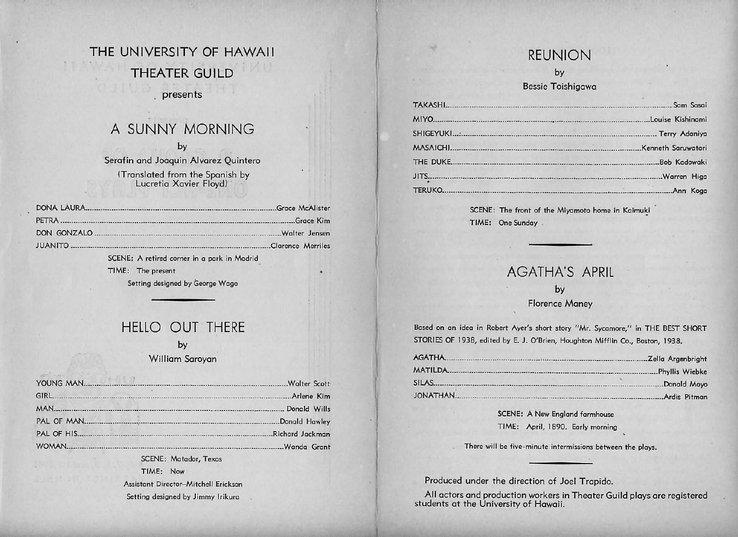# THE UNIVERSITY OF HAWAII THEATER GUILD presents

# A SUNNY MORNING

by Serafin and Joaquin Alvarez Quintero (Translated from the Spanish by Lucretia Xavier Floya)

| SCENE: A retired corner in a park in Madrid |  |
|---------------------------------------------|--|
| TIME: The present                           |  |

Setting designed by George Wogo

### HELLO OUT THERE

by

William Saroyan

| The same of the state | SCENE: Matador, Texas                |  |
|-----------------------|--------------------------------------|--|
|                       | TIME: Now                            |  |
|                       | Assistant Director-Mitchell Erickson |  |
|                       | Setting designed by Jimmy Irikura    |  |

### REUNION

by

Bessie Toishigawa

|          | Louise Kishinami    |
|----------|---------------------|
|          |                     |
|          | .Kenneth Saruwatari |
| THE DUKE | Bob Kadowaki        |
|          | .Warren Higa        |
| TERUKO.  | Ann Koga            |

SCENE: The front of the Miyamoto home in Kaimuki TIME: One Sunday

### AGATHA'S APRIL

by Florence Maney

Based on on ideo in Robert Ayer's short story "Mr. Sycamore," in THE BEST SHORT STORIES OF 1938, edited by E. J. O'Brien, Houghton Mifflin Co., Boston, 1938.

| AGATHA           | Zella Argenbright |  |
|------------------|-------------------|--|
| <b>MATILDA</b>   | Phyllis Wiebke    |  |
| SILAS            | Donald Mayo       |  |
| <b>JONATHAN.</b> | .Ardis Pitman     |  |

SCENE: A New England farmhouse TIME: April, 1890. Early morning

There will be five-minute intermissions between the ploys.

Produced under the direction of Joel Trapido.

I I

All actors and production workers in Theater Guild plays are registered students at the University of Hawaii.